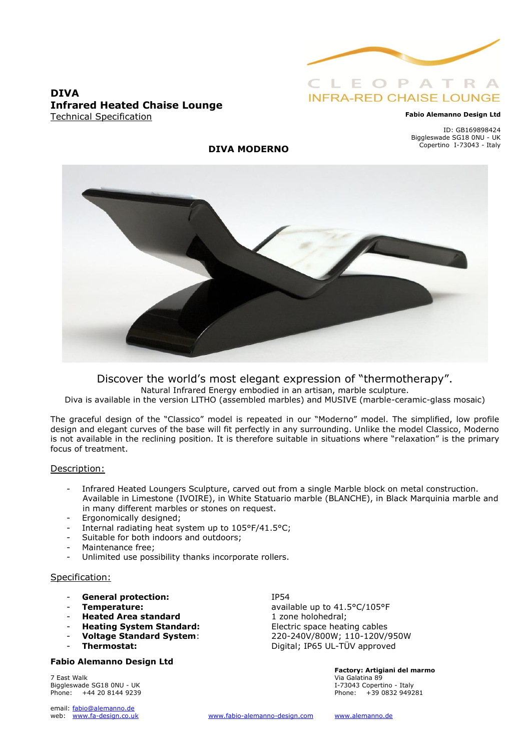

#### **DIVA Infrared Heated Chaise Lounge** Technical Specification

#### **Fabio Alemanno Design Ltd**

ID: GB169898424 Biggleswade SG18 0NU - UK Copertino I-73043 - Italy

#### **DIVA MODERNO**



Discover the world's most elegant expression of "thermotherapy". Natural Infrared Energy embodied in an artisan, marble sculpture. Diva is available in the version LITHO (assembled marbles) and MUSIVE (marble-ceramic-glass mosaic)

The graceful design of the "Classico" model is repeated in our "Moderno" model. The simplified, low profile design and elegant curves of the base will fit perfectly in any surrounding. Unlike the model Classico, Moderno is not available in the reclining position. It is therefore suitable in situations where "relaxation" is the primary focus of treatment.

#### Description:

- Infrared Heated Loungers Sculpture, carved out from a single Marble block on metal construction. Available in Limestone (IVOIRE), in White Statuario marble (BLANCHE), in Black Marquinia marble and in many different marbles or stones on request.
- Ergonomically designed;
- Internal radiating heat system up to 105°F/41.5°C;
- Suitable for both indoors and outdoors;
- Maintenance free;
- Unlimited use possibility thanks incorporate rollers.

#### Specification:

- General protection: IP54
- 
- **Heated Area standard**
- **Heating System Standard:** Electric space heating cables
- 
- 

#### **Fabio Alemanno Design Ltd**

7 East Walk Via Galatina 89 Biggleswade SG18 0NU - UK **I-73043** Copertino - Italy Phone: +44 20 8144 9239 Phone: +39 0832 949281

email: fabio@alemanno.de<br>web: www.fa-design.co.uk

**Temperature:**<br> **Heated Area standard**<br> **Example 2** available up to 41.5°C/105°F<br>
1 zone holohedral; - **Voltage Standard System**: 220-240V/800W; 110-120V/950W Thermostat: Digital; IP65 UL-TÜV approved

**Factory: Artigiani del marmo**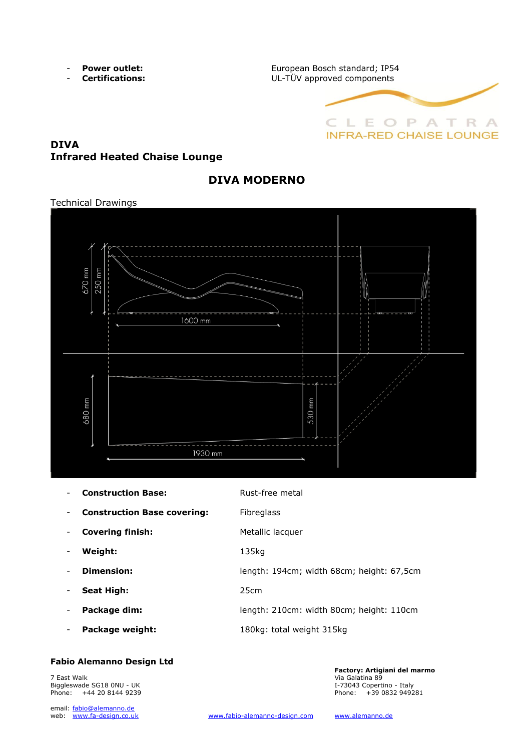- 
- 

- **Power outlet: EUROOF EUROPEAN BOSCH Standard; IP54** - **Certifications:** UL-TÜV approved components



## **DIVA Infrared Heated Chaise Lounge**

## **DIVA MODERNO**

#### Technical Drawings



| <b>Construction Base:</b>          | Rust-free metal                           |
|------------------------------------|-------------------------------------------|
| <b>Construction Base covering:</b> | <b>Fibreglass</b>                         |
| <b>Covering finish:</b>            | Metallic lacquer                          |
| Weight:                            | 135kg                                     |
| Dimension:                         | length: 194cm; width 68cm; height: 67,5cm |
| <b>Seat High:</b>                  | 25cm                                      |
| Package dim:                       | length: 210cm: width 80cm; height: 110cm  |
| Package weight:                    | 180kg: total weight 315kg                 |
|                                    |                                           |

### **Fabio Alemanno Design Ltd**

7 East Walk Via Galatina 89 Biggleswade SG18 0NU - UK I-73043 Copertino - Italy Phone: +44 20 8144 9239

email: fabio@alemanno.de<br>web: www.fa-design.co.uk

**Factory: Artigiani del marmo**